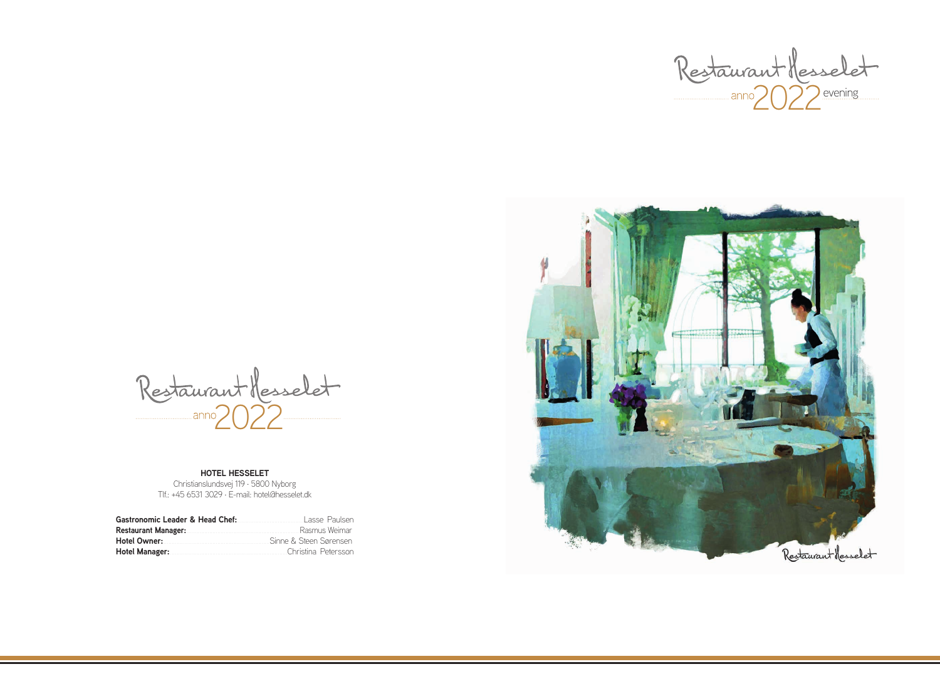Restaurant Messelet

### **HOTEL HESSELET**

Christianslundsvej 119 · 5800 Nyborg Tlf.: +45 6531 3029 · E-mail: hotel@hesselet.dk

| Gastronomic Leader & Head Chef:                                                                                 | Lasse Paulsen          |
|-----------------------------------------------------------------------------------------------------------------|------------------------|
| Restaurant Manager: Managering Managering Managering Managering Managering Management Management Management Ma  | Rasmus Weimar          |
| Hotel Owner: Management of Hotel Owner:                                                                         | Sinne & Steen Sørensen |
| Hotel Manager: Manager: Manager & Manager & Manager & Manager & Manager & Manager & Manager & Manager & Manager | Christina Petersson    |



 $2022$  evening